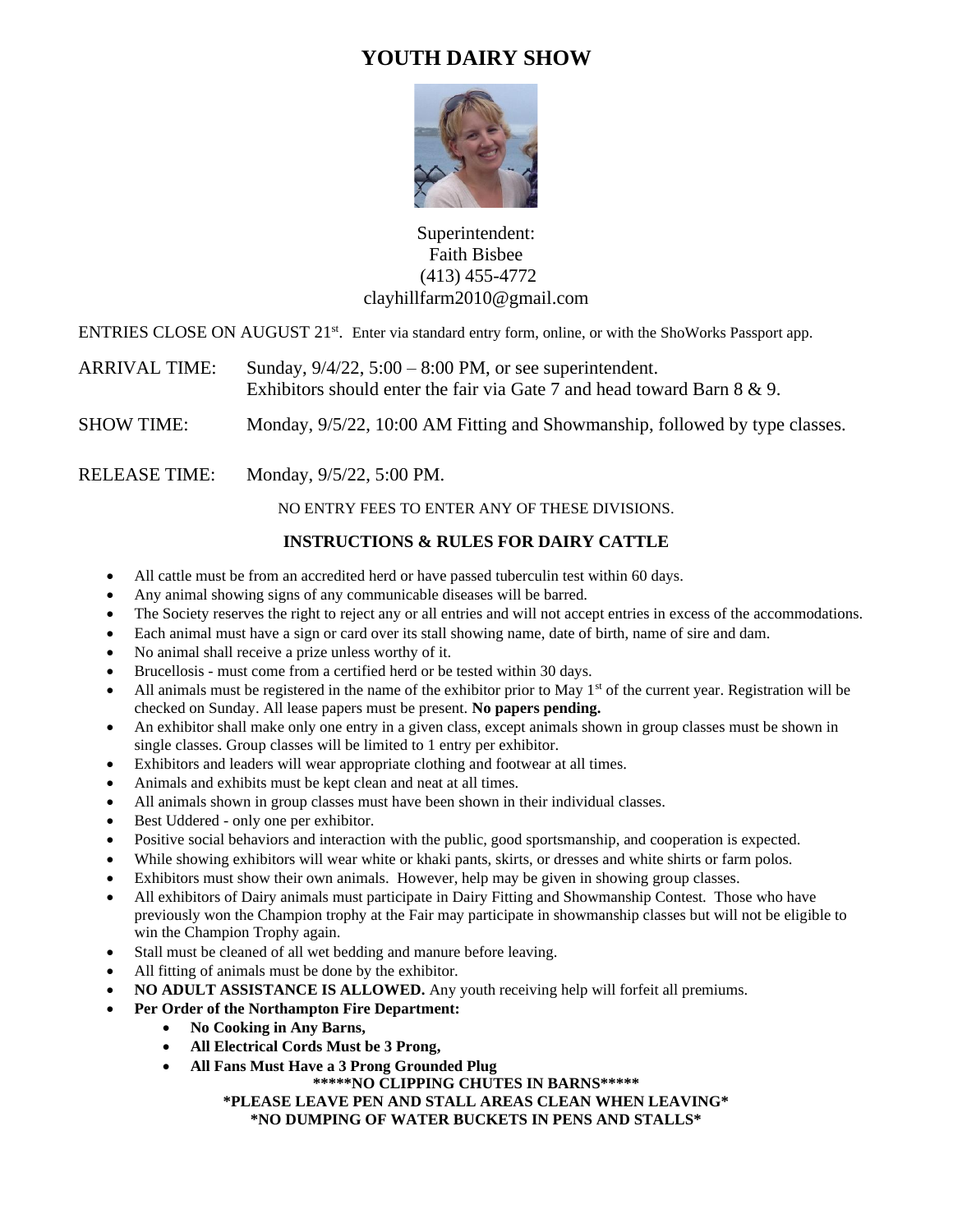# **YOUTH DAIRY SHOW**



### Superintendent: Faith Bisbee (413) 455-4772 clayhillfarm2010@gmail.com

ENTRIES CLOSE ON AUGUST 21<sup>st</sup>. Enter via standard entry form, online, or with the ShoWorks Passport app.

ARRIVAL TIME: Sunday,  $9/4/22$ ,  $5:00 - 8:00$  PM, or see superintendent. Exhibitors should enter the fair via Gate 7 and head toward Barn 8 & 9.

SHOW TIME: Monday, 9/5/22, 10:00 AM Fitting and Showmanship, followed by type classes.

RELEASE TIME: Monday,  $9/5/22$ , 5:00 PM.

NO ENTRY FEES TO ENTER ANY OF THESE DIVISIONS.

#### **INSTRUCTIONS & RULES FOR DAIRY CATTLE**

- All cattle must be from an accredited herd or have passed tuberculin test within 60 days.
- Any animal showing signs of any communicable diseases will be barred.
- The Society reserves the right to reject any or all entries and will not accept entries in excess of the accommodations.
- Each animal must have a sign or card over its stall showing name, date of birth, name of sire and dam.
- No animal shall receive a prize unless worthy of it.
- Brucellosis must come from a certified herd or be tested within 30 days.
- All animals must be registered in the name of the exhibitor prior to May  $1<sup>st</sup>$  of the current year. Registration will be checked on Sunday. All lease papers must be present. **No papers pending.**
- An exhibitor shall make only one entry in a given class, except animals shown in group classes must be shown in single classes. Group classes will be limited to 1 entry per exhibitor.
- Exhibitors and leaders will wear appropriate clothing and footwear at all times.
- Animals and exhibits must be kept clean and neat at all times.
- All animals shown in group classes must have been shown in their individual classes.
- Best Uddered only one per exhibitor.
- Positive social behaviors and interaction with the public, good sportsmanship, and cooperation is expected.
- While showing exhibitors will wear white or khaki pants, skirts, or dresses and white shirts or farm polos.
- Exhibitors must show their own animals. However, help may be given in showing group classes.
- All exhibitors of Dairy animals must participate in Dairy Fitting and Showmanship Contest. Those who have previously won the Champion trophy at the Fair may participate in showmanship classes but will not be eligible to win the Champion Trophy again.
- Stall must be cleaned of all wet bedding and manure before leaving.
- All fitting of animals must be done by the exhibitor.
- **NO ADULT ASSISTANCE IS ALLOWED.** Any youth receiving help will forfeit all premiums.
- **Per Order of the Northampton Fire Department:**
	- **No Cooking in Any Barns,**
	- **All Electrical Cords Must be 3 Prong,**
	- **All Fans Must Have a 3 Prong Grounded Plug**

**\*\*\*\*\*NO CLIPPING CHUTES IN BARNS\*\*\*\*\***

#### **\*PLEASE LEAVE PEN AND STALL AREAS CLEAN WHEN LEAVING\* \*NO DUMPING OF WATER BUCKETS IN PENS AND STALLS\***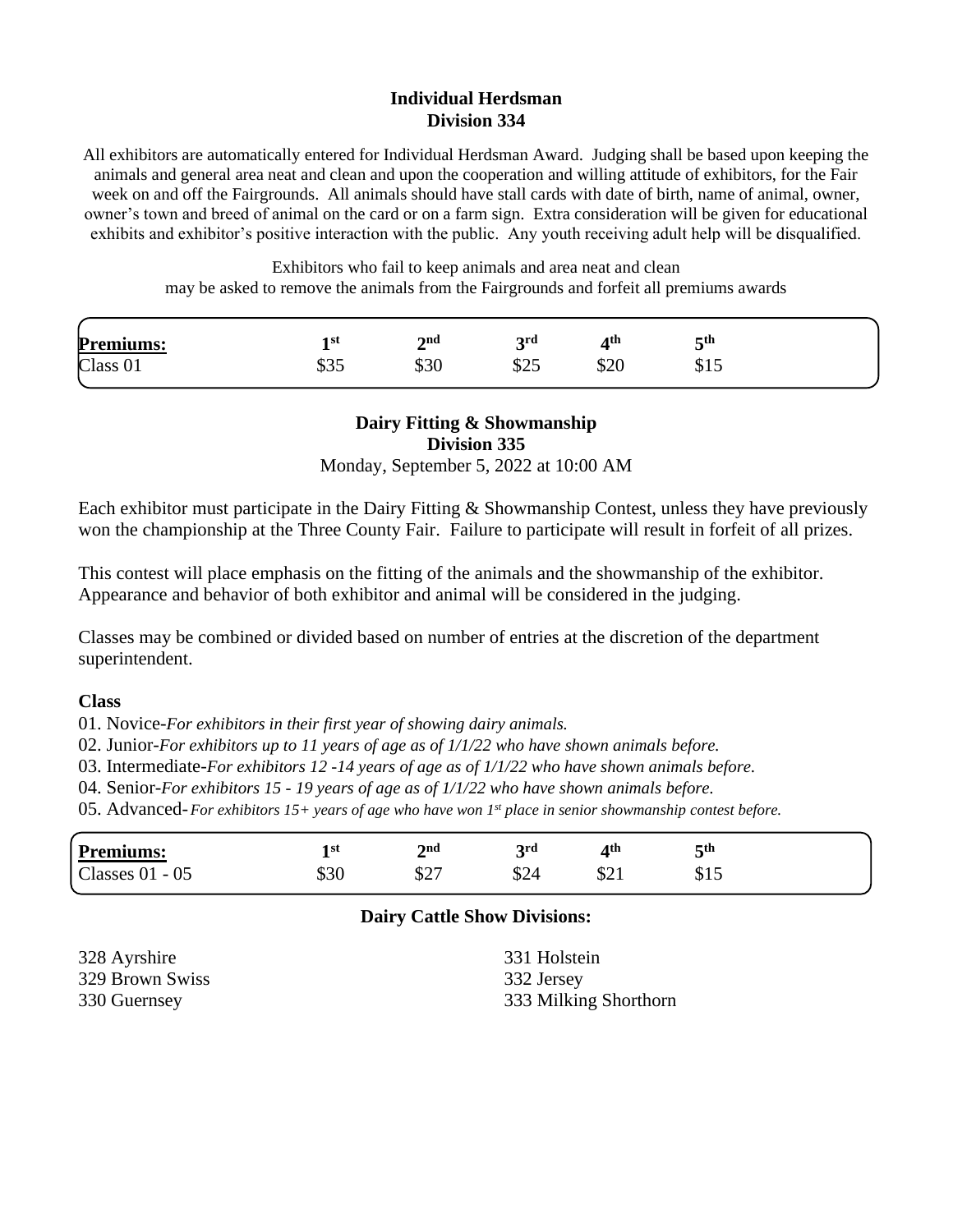#### **Individual Herdsman Division 334**

All exhibitors are automatically entered for Individual Herdsman Award. Judging shall be based upon keeping the animals and general area neat and clean and upon the cooperation and willing attitude of exhibitors, for the Fair week on and off the Fairgrounds. All animals should have stall cards with date of birth, name of animal, owner, owner's town and breed of animal on the card or on a farm sign. Extra consideration will be given for educational exhibits and exhibitor's positive interaction with the public. Any youth receiving adult help will be disqualified.

> Exhibitors who fail to keep animals and area neat and clean may be asked to remove the animals from the Fairgrounds and forfeit all premiums awards

| <b>Premiums:</b>    | l st         | 2 <sub>nd</sub> | 2rd        | ⁄1th | $\boldsymbol{\varsigma}$ th |
|---------------------|--------------|-----------------|------------|------|-----------------------------|
| Class <sub>01</sub> | ሐኅ ፫<br>ـد ت | 99U             | ሶሳድ<br>ر∠ب | υ∠υ  | <b>φ1J</b>                  |

## **Dairy Fitting & Showmanship Division 335**

Monday, September 5, 2022 at 10:00 AM

Each exhibitor must participate in the Dairy Fitting & Showmanship Contest, unless they have previously won the championship at the Three County Fair. Failure to participate will result in forfeit of all prizes.

This contest will place emphasis on the fitting of the animals and the showmanship of the exhibitor. Appearance and behavior of both exhibitor and animal will be considered in the judging.

Classes may be combined or divided based on number of entries at the discretion of the department superintendent.

#### **Class**

01. Novice-*For exhibitors in their first year of showing dairy animals.*

02. Junior-*For exhibitors up to 11 years of age as of 1/1/22 who have shown animals before.*

03. Intermediate-*For exhibitors 12 -14 years of age as of 1/1/22 who have shown animals before.*

04. Senior-*For exhibitors 15 - 19 years of age as of 1/1/22 who have shown animals before.*

05. Advanced-*For exhibitors 15+ years of age who have won 1st place in senior showmanship contest before.*

#### **Dairy Cattle Show Divisions:**

328 Ayrshire 329 Brown Swiss 330 Guernsey

331 Holstein 332 Jersey 333 Milking Shorthorn